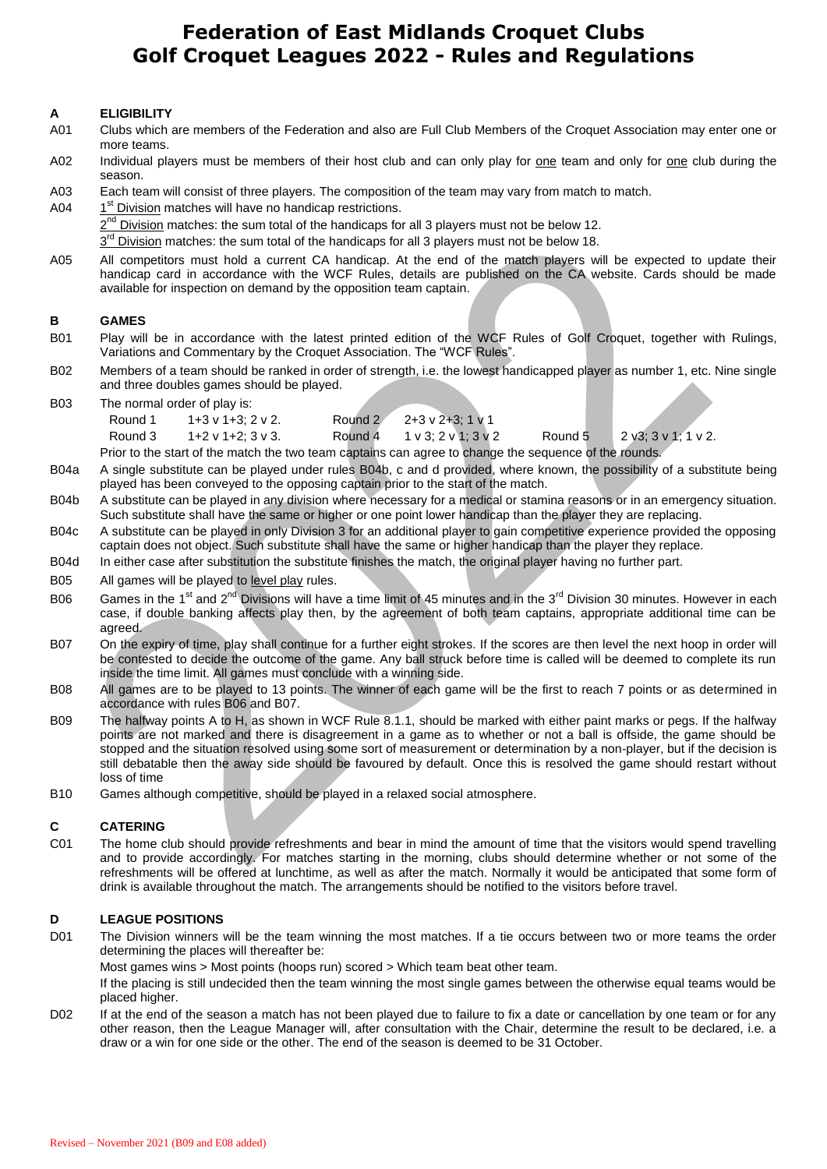# **Federation of East Midlands Croquet Clubs Golf Croquet Leagues 2022 - Rules and Regulations**

## **A ELIGIBILITY**

- A01 Clubs which are members of the Federation and also are Full Club Members of the Croquet Association may enter one or more teams.
- A02 Individual players must be members of their host club and can only play for one team and only for one club during the season.
- A03 Each team will consist of three players. The composition of the team may vary from match to match.
- A04 1<sup>st</sup> Division matches will have no handicap restrictions.

2<sup>nd</sup> Division matches: the sum total of the handicaps for all 3 players must not be below 12.

3<sup>rd</sup> Division matches: the sum total of the handicaps for all 3 players must not be below 18.

A05 All competitors must hold a current CA handicap. At the end of the match players will be expected to update their handicap card in accordance with the WCF Rules, details are published on the CA website. Cards should be made available for inspection on demand by the opposition team captain.

#### **B GAMES**

- B01 Play will be in accordance with the latest printed edition of the WCF Rules of Golf Croquet, together with Rulings, Variations and Commentary by the Croquet Association. The "WCF Rules".
- B02 Members of a team should be ranked in order of strength, i.e. the lowest handicapped player as number 1, etc. Nine single and three doubles games should be played.

B03 The normal order of play is:

| Round 1                                                                                               | 1+3 v 1+3: 2 v 2. | Round 2 | $2+3$ v $2+3$ : 1 v 1 |         |                              |
|-------------------------------------------------------------------------------------------------------|-------------------|---------|-----------------------|---------|------------------------------|
| Round 3                                                                                               | 1+2 v 1+2: 3 v 3. | Round 4 | 1 v 3: 2 v 1: 3 v 2   | Round 5 | $2 \sqrt{3}$ : 3 v 1: 1 v 2. |
| Prior to the start of the match the two team captains can agree to change the sequence of the rounds. |                   |         |                       |         |                              |

B04a A single substitute can be played under rules B04b, c and d provided, where known, the possibility of a substitute being played has been conveyed to the opposing captain prior to the start of the match.

- B04b A substitute can be played in any division where necessary for a medical or stamina reasons or in an emergency situation. Such substitute shall have the same or higher or one point lower handicap than the player they are replacing.
- B04c A substitute can be played in only Division 3 for an additional player to gain competitive experience provided the opposing captain does not object. Such substitute shall have the same or higher handicap than the player they replace.
- B04d In either case after substitution the substitute finishes the match, the original player having no further part.
- B05 All games will be played to level play rules.
- B06 Games in the 1<sup>st</sup> and 2<sup>nd</sup> Divisions will have a time limit of 45 minutes and in the 3<sup>rd</sup> Division 30 minutes. However in each case, if double banking affects play then, by the agreement of both team captains, appropriate additional time can be agreed.
- B07 On the expiry of time, play shall continue for a further eight strokes. If the scores are then level the next hoop in order will be contested to decide the outcome of the game. Any ball struck before time is called will be deemed to complete its run inside the time limit. All games must conclude with a winning side.
- B08 All games are to be played to 13 points. The winner of each game will be the first to reach 7 points or as determined in accordance with rules B06 and B07.
- B09 The halfway points A to H, as shown in WCF Rule 8.1.1, should be marked with either paint marks or pegs. If the halfway points are not marked and there is disagreement in a game as to whether or not a ball is offside, the game should be stopped and the situation resolved using some sort of measurement or determination by a non-player, but if the decision is still debatable then the away side should be favoured by default. Once this is resolved the game should restart without loss of time
- B10 Games although competitive, should be played in a relaxed social atmosphere.

## **C CATERING**

C01 The home club should provide refreshments and bear in mind the amount of time that the visitors would spend travelling and to provide accordingly. For matches starting in the morning, clubs should determine whether or not some of the refreshments will be offered at lunchtime, as well as after the match. Normally it would be anticipated that some form of drink is available throughout the match. The arrangements should be notified to the visitors before travel.

## **D LEAGUE POSITIONS**

D01 The Division winners will be the team winning the most matches. If a tie occurs between two or more teams the order determining the places will thereafter be:

Most games wins > Most points (hoops run) scored > Which team beat other team.

If the placing is still undecided then the team winning the most single games between the otherwise equal teams would be placed higher.

D02 If at the end of the season a match has not been played due to failure to fix a date or cancellation by one team or for any other reason, then the League Manager will, after consultation with the Chair, determine the result to be declared, i.e. a draw or a win for one side or the other. The end of the season is deemed to be 31 October.